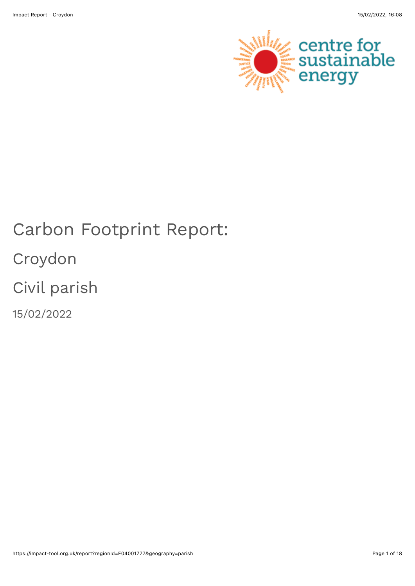

# Carbon Footprint Report: Croydon Civil parish 15/02/2022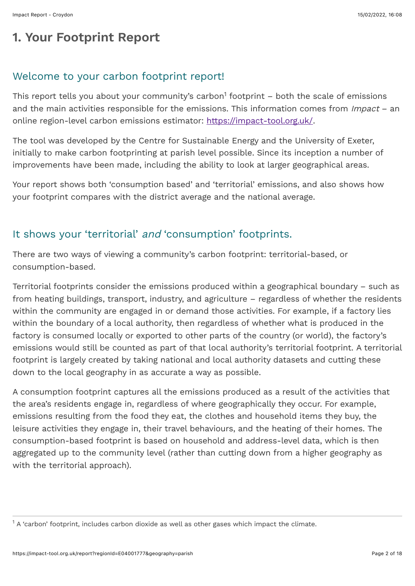# **1. Your Footprint Report**

#### Welcome to your carbon footprint report!

This report tells you about your community's carbon $^1$  footprint – both the scale of emissions and the main activities responsible for the emissions. This information comes from Impact - an online region-level carbon emissions estimator:<https://impact-tool.org.uk/>.

The tool was developed by the Centre for Sustainable Energy and the University of Exeter, initially to make carbon footprinting at parish level possible. Since its inception a number of improvements have been made, including the ability to look at larger geographical areas.

Your report shows both 'consumption based' and 'territorial' emissions, and also shows how your footprint compares with the district average and the national average.

#### It shows your 'territorial' and 'consumption' footprints.

There are two ways of viewing a community's carbon footprint: territorial-based, or consumption-based.

Territorial footprints consider the emissions produced within a geographical boundary – such as from heating buildings, transport, industry, and agriculture – regardless of whether the residents within the community are engaged in or demand those activities. For example, if a factory lies within the boundary of a local authority, then regardless of whether what is produced in the factory is consumed locally or exported to other parts of the country (or world), the factory's emissions would still be counted as part of that local authority's territorial footprint. A territorial footprint is largely created by taking national and local authority datasets and cutting these down to the local geography in as accurate a way as possible.

A consumption footprint captures all the emissions produced as a result of the activities that the area's residents engage in, regardless of where geographically they occur. For example, emissions resulting from the food they eat, the clothes and household items they buy, the leisure activities they engage in, their travel behaviours, and the heating of their homes. The consumption-based footprint is based on household and address-level data, which is then aggregated up to the community level (rather than cutting down from a higher geography as with the territorial approach).

 $^{\text{1}}$  A 'carbon' footprint, includes carbon dioxide as well as other gases which impact the climate.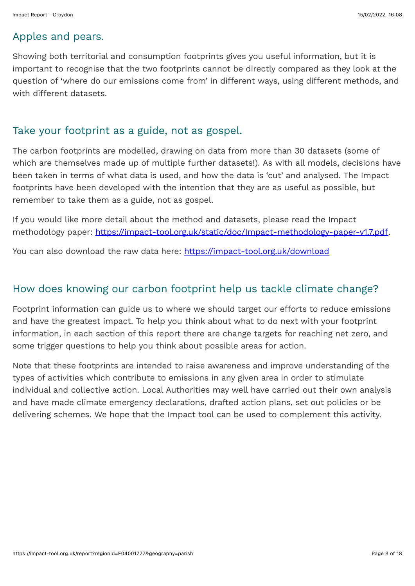#### Apples and pears.

Showing both territorial and consumption footprints gives you useful information, but it is important to recognise that the two footprints cannot be directly compared as they look at the question of 'where do our emissions come from' in different ways, using different methods, and with different datasets.

## Take your footprint as a guide, not as gospel.

The carbon footprints are modelled, drawing on data from more than 30 datasets (some of which are themselves made up of multiple further datasets!). As with all models, decisions have been taken in terms of what data is used, and how the data is 'cut' and analysed. The Impact footprints have been developed with the intention that they are as useful as possible, but remember to take them as a guide, not as gospel.

If you would like more detail about the method and datasets, please read the Impact methodology paper: <https://impact-tool.org.uk/static/doc/Impact-methodology-paper-v1.7.pdf>.

You can also download the raw data here:<https://impact-tool.org.uk/download>

#### How does knowing our carbon footprint help us tackle climate change?

Footprint information can guide us to where we should target our efforts to reduce emissions and have the greatest impact. To help you think about what to do next with your footprint information, in each section of this report there are change targets for reaching net zero, and some trigger questions to help you think about possible areas for action.

Note that these footprints are intended to raise awareness and improve understanding of the types of activities which contribute to emissions in any given area in order to stimulate individual and collective action. Local Authorities may well have carried out their own analysis and have made climate emergency declarations, drafted action plans, set out policies or be delivering schemes. We hope that the Impact tool can be used to complement this activity.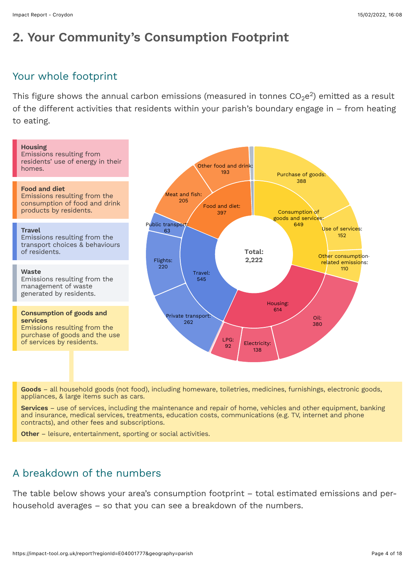# **2. Your Community's Consumption Footprint**

#### Your whole footprint

This figure shows the annual carbon emissions (measured in tonnes CO $_2$ e $^2$ ) emitted as a result of the different activities that residents within your parish's boundary engage in – from heating to eating.



**Goods** – all household goods (not food), including homeware, toiletries, medicines, furnishings, electronic goods, appliances, & large items such as cars.

**Services** – use of services, including the maintenance and repair of home, vehicles and other equipment, banking and insurance, medical services, treatments, education costs, communications (e.g. TV, internet and phone contracts), and other fees and subscriptions.

**Other** – leisure, entertainment, sporting or social activities.

## A breakdown of the numbers

The table below shows your area's consumption footprint – total estimated emissions and perhousehold averages – so that you can see a breakdown of the numbers.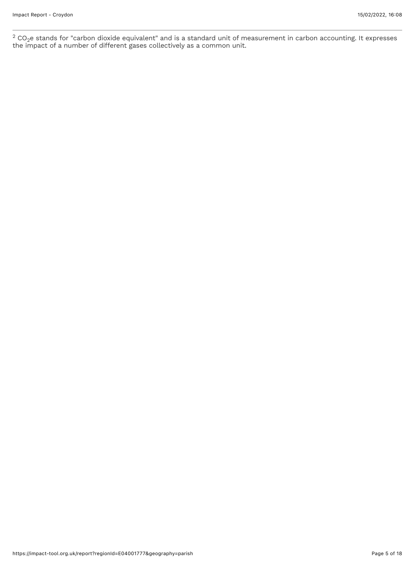$CO<sub>2</sub>e$  stands for "carbon dioxide equivalent" and is a standard unit of measurement in carbon accounting. It expresses the impact of a number of different gases collectively as a common unit.  $2$  CO<sub>2</sub>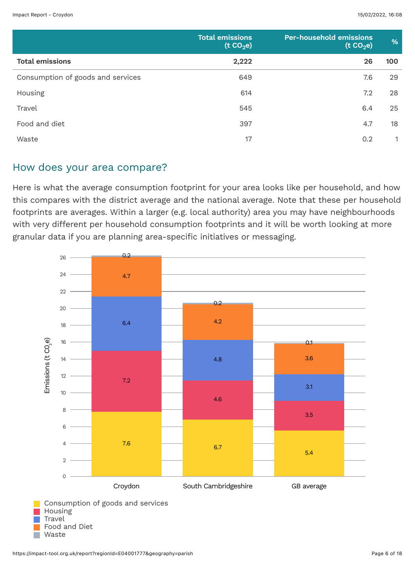|                                   | <b>Total emissions</b><br>(t CO <sub>2</sub> e) | <b>Per-household emissions</b><br>(t CO <sub>2</sub> e) | %   |
|-----------------------------------|-------------------------------------------------|---------------------------------------------------------|-----|
| <b>Total emissions</b>            | 2,222                                           | 26                                                      | 100 |
| Consumption of goods and services | 649                                             | 7.6                                                     | 29  |
| Housing                           | 614                                             | 7.2                                                     | 28  |
| Travel                            | 545                                             | 6.4                                                     | 25  |
| Food and diet                     | 397                                             | 4.7                                                     | 18  |
| Waste                             | 17                                              | 0.2                                                     |     |

#### How does your area compare?

Here is what the average consumption footprint for your area looks like per household, and how this compares with the district average and the national average. Note that these per household footprints are averages. Within a larger (e.g. local authority) area you may have neighbourhoods with very different per household consumption footprints and it will be worth looking at more granular data if you are planning area-specific initiatives or messaging.

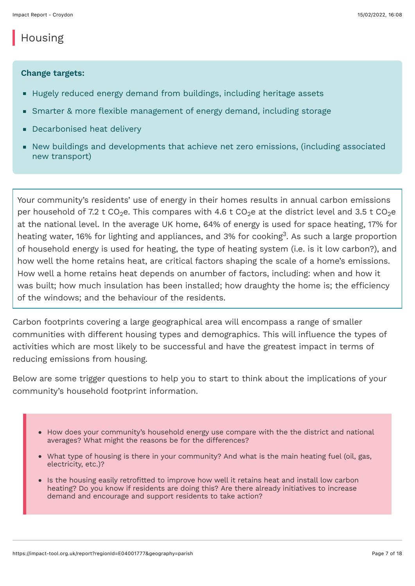## Housing

#### **Change targets:**

- Hugely reduced energy demand from buildings, including heritage assets
- Smarter & more flexible management of energy demand, including storage
- **Decarbonised heat delivery**
- New buildings and developments that achieve net zero emissions, (including associated new transport)

Your community's residents' use of energy in their homes results in annual carbon emissions per household of 7.2 t CO $_2$ e. This compares with 4.6 t CO $_2$ e at the district level and 3.5 t CO $_2$ e at the national level. In the average UK home, 64% of energy is used for space heating, 17% for heating water, 16% for lighting and appliances, and 3% for cooking $^3$ . As such a large proportion of household energy is used for heating, the type of heating system (i.e. is it low carbon?), and how well the home retains heat, are critical factors shaping the scale of a home's emissions. How well a home retains heat depends on anumber of factors, including: when and how it was built; how much insulation has been installed; how draughty the home is; the efficiency of the windows; and the behaviour of the residents.

Carbon footprints covering a large geographical area will encompass a range of smaller communities with different housing types and demographics. This will influence the types of activities which are most likely to be successful and have the greatest impact in terms of reducing emissions from housing.

Below are some trigger questions to help you to start to think about the implications of your community's household footprint information.

- How does your community's household energy use compare with the the district and national averages? What might the reasons be for the differences?
- What type of housing is there in your community? And what is the main heating fuel (oil, gas, electricity, etc.)?
- Is the housing easily retrofitted to improve how well it retains heat and install low carbon heating? Do you know if residents are doing this? Are there already initiatives to increase demand and encourage and support residents to take action?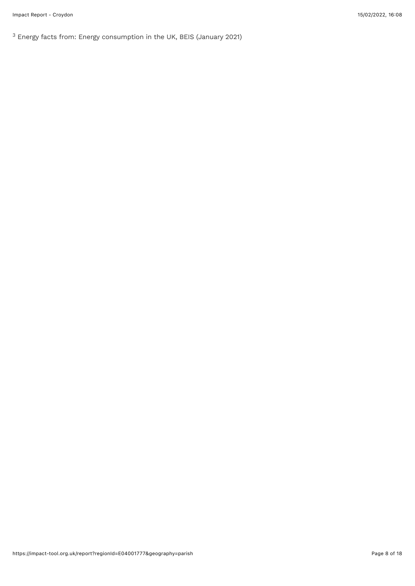$3$  Energy facts from: Energy consumption in the UK, BEIS (January 2021)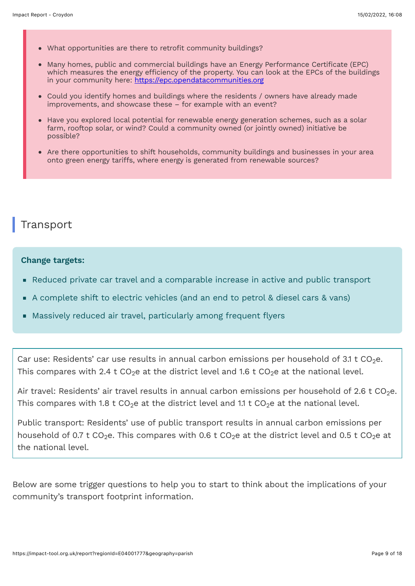- What opportunities are there to retrofit community buildings?
- Many homes, public and commercial buildings have an Energy Performance Certificate (EPC) which measures the energy efficiency of the property. You can look at the EPCs of the buildings in your community here: [https://epc.opendatacommunities.org](https://epc.opendatacommunities.org/)
- Could you identify homes and buildings where the residents / owners have already made improvements, and showcase these – for example with an event?
- Have you explored local potential for renewable energy generation schemes, such as a solar farm, rooftop solar, or wind? Could a community owned (or jointly owned) initiative be possible?
- Are there opportunities to shift households, community buildings and businesses in your area onto green energy tariffs, where energy is generated from renewable sources?

## **Transport**

#### **Change targets:**

- Reduced private car travel and a comparable increase in active and public transport
- A complete shift to electric vehicles (and an end to petrol & diesel cars & vans)
- Massively reduced air travel, particularly among frequent flyers

Car use: Residents' car use results in annual carbon emissions per household of 3.1 t CO $_2$ e. This compares with 2.4 t CO<sub>2</sub>e at the district level and 1.6 t CO<sub>2</sub>e at the national level.

Air travel: Residents' air travel results in annual carbon emissions per household of 2.6 t CO<sub>2</sub>e. This compares with 1.8 t CO<sub>2</sub>e at the district level and 1.1 t CO<sub>2</sub>e at the national level.

Public transport: Residents' use of public transport results in annual carbon emissions per household of 0.7 t CO $_2$ e. This compares with 0.6 t CO $_2$ e at the district level and 0.5 t CO $_2$ e at the national level.

Below are some trigger questions to help you to start to think about the implications of your community's transport footprint information.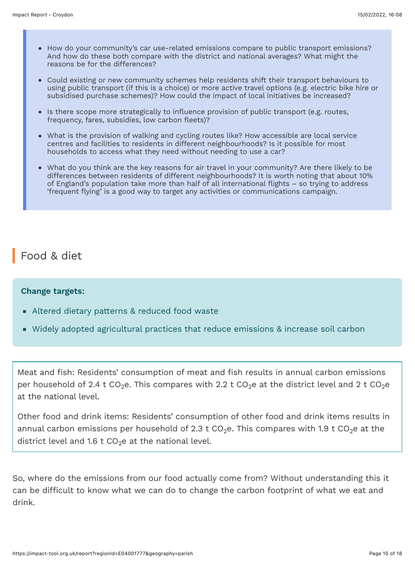- How do your community's car use-related emissions compare to public transport emissions? And how do these both compare with the district and national averages? What might the reasons be for the differences?
- Could existing or new community schemes help residents shift their transport behaviours to using public transport (if this is a choice) or more active travel options (e.g. electric bike hire or subsidised purchase schemes)? How could the impact of local initiatives be increased?
- Is there scope more strategically to influence provision of public transport (e.g. routes, frequency, fares, subsidies, low carbon fleets)?
- What is the provision of walking and cycling routes like? How accessible are local service centres and facilities to residents in different neighbourhoods? Is it possible for most households to access what they need without needing to use a car?
- What do you think are the key reasons for air travel in your community? Are there likely to be differences between residents of different neighbourhoods? It is worth noting that about 10% of England's population take more than half of all international flights – so trying to address 'frequent flying' is a good way to target any activities or communications campaign.

## Food & diet

#### **Change targets:**

- Altered dietary patterns & reduced food waste
- Widely adopted agricultural practices that reduce emissions & increase soil carbon

Meat and fish: Residents' consumption of meat and fish results in annual carbon emissions per household of 2.4 t CO $_2$ e. This compares with 2.2 t CO $_2$ e at the district level and 2 t CO $_2$ e at the national level.

Other food and drink items: Residents' consumption of other food and drink items results in annual carbon emissions per household of 2.3 t CO<sub>2</sub>e. This compares with 1.9 t CO<sub>2</sub>e at the district level and 1.6 t CO $_2$ e at the national level.

So, where do the emissions from our food actually come from? Without understanding this it can be difficult to know what we can do to change the carbon footprint of what we eat and drink.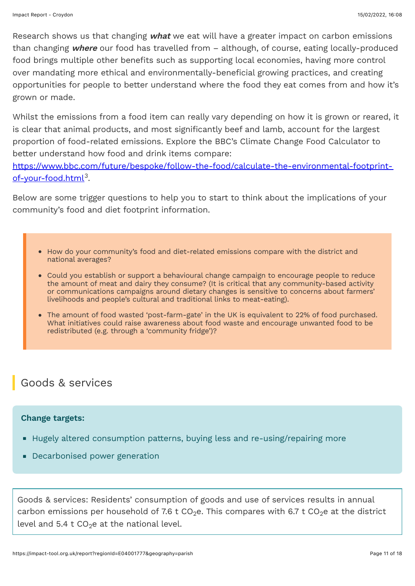Research shows us that changing **what** we eat will have a greater impact on carbon emissions than changing **where** our food has travelled from – although, of course, eating locally-produced food brings multiple other benefits such as supporting local economies, having more control over mandating more ethical and environmentally-beneficial growing practices, and creating opportunities for people to better understand where the food they eat comes from and how it's grown or made.

Whilst the emissions from a food item can really vary depending on how it is grown or reared, it is clear that animal products, and most significantly beef and lamb, account for the largest proportion of food-related emissions. Explore the BBC's Climate Change Food Calculator to better understand how food and drink items compare:

[https://www.bbc.com/future/bespoke/follow-the-food/calculate-the-environmental-footprint](https://www.bbc.com/future/bespoke/follow-the-food/calculate-the-environmental-footprint-of-your-food.html)of-your-food.html<sup>3</sup>.

Below are some trigger questions to help you to start to think about the implications of your community's food and diet footprint information.

- How do your community's food and diet-related emissions compare with the district and national averages?
- Could you establish or support a behavioural change campaign to encourage people to reduce the amount of meat and dairy they consume? (It is critical that any community-based activity or communications campaigns around dietary changes is sensitive to concerns about farmers' livelihoods and people's cultural and traditional links to meat-eating).
- The amount of food wasted 'post-farm-gate' in the UK is equivalent to 22% of food purchased. What initiatives could raise awareness about food waste and encourage unwanted food to be redistributed (e.g. through a 'community fridge')?

## Goods & services

#### **Change targets:**

- Hugely altered consumption patterns, buying less and re-using/repairing more
- Decarbonised power generation

Goods & services: Residents' consumption of goods and use of services results in annual carbon emissions per household of 7.6 t CO $_2$ e. This compares with 6.7 t CO $_2$ e at the district level and 5.4 t CO $_2$ e at the national level.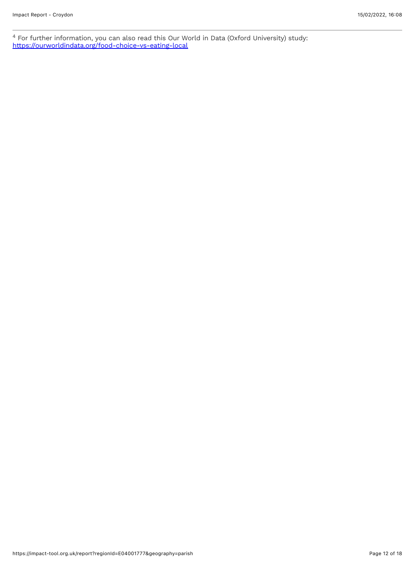For further information, you can also read this Our World in Data (Oxford University) study: <https://ourworldindata.org/food-choice-vs-eating-local> 4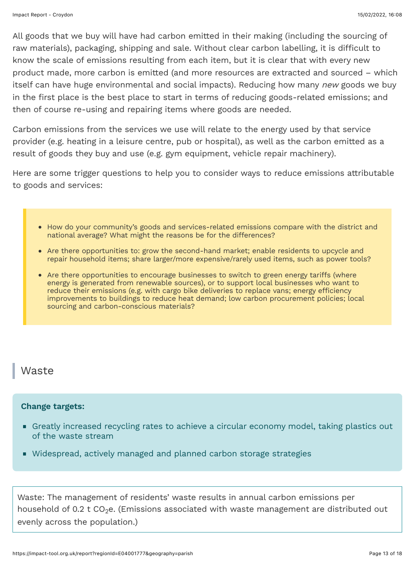All goods that we buy will have had carbon emitted in their making (including the sourcing of raw materials), packaging, shipping and sale. Without clear carbon labelling, it is difficult to know the scale of emissions resulting from each item, but it is clear that with every new product made, more carbon is emitted (and more resources are extracted and sourced – which itself can have huge environmental and social impacts). Reducing how many *new* goods we buy in the first place is the best place to start in terms of reducing goods-related emissions; and then of course re-using and repairing items where goods are needed.

Carbon emissions from the services we use will relate to the energy used by that service provider (e.g. heating in a leisure centre, pub or hospital), as well as the carbon emitted as a result of goods they buy and use (e.g. gym equipment, vehicle repair machinery).

Here are some trigger questions to help you to consider ways to reduce emissions attributable to goods and services:

- How do your community's goods and services-related emissions compare with the district and national average? What might the reasons be for the differences?
- Are there opportunities to: grow the second-hand market; enable residents to upcycle and repair household items; share larger/more expensive/rarely used items, such as power tools?
- Are there opportunities to encourage businesses to switch to green energy tariffs (where energy is generated from renewable sources), or to support local businesses who want to reduce their emissions (e.g. with cargo bike deliveries to replace vans; energy efficiency improvements to buildings to reduce heat demand; low carbon procurement policies; local sourcing and carbon-conscious materials?

#### Waste

#### **Change targets:**

- Greatly increased recycling rates to achieve a circular economy model, taking plastics out of the waste stream
- Widespread, actively managed and planned carbon storage strategies

Waste: The management of residents' waste results in annual carbon emissions per household of 0.2 t CO $_2$ e. (Emissions associated with waste management are distributed out evenly across the population.)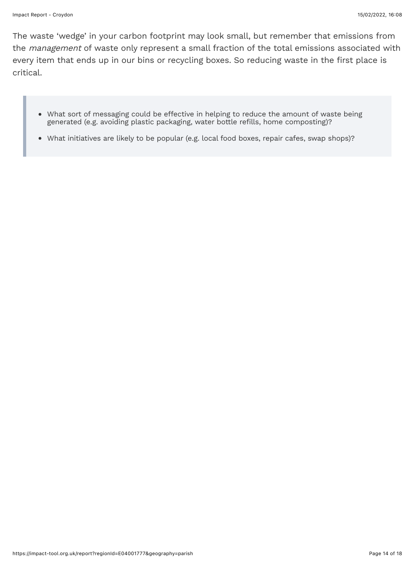The waste 'wedge' in your carbon footprint may look small, but remember that emissions from the management of waste only represent a small fraction of the total emissions associated with every item that ends up in our bins or recycling boxes. So reducing waste in the first place is critical.

- What sort of messaging could be effective in helping to reduce the amount of waste being generated (e.g. avoiding plastic packaging, water bottle refills, home composting)?
- What initiatives are likely to be popular (e.g. local food boxes, repair cafes, swap shops)?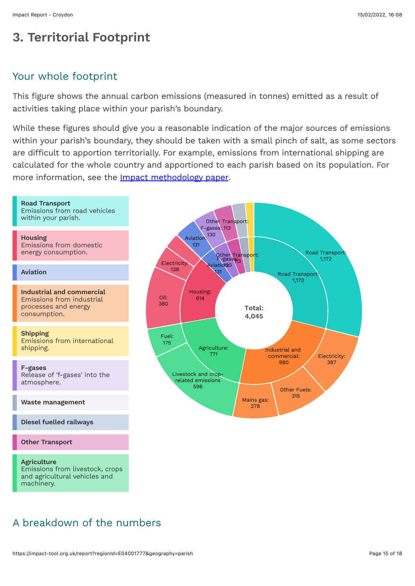# **3. Territorial Footprint**

#### Your whole footprint

This figure shows the annual carbon emissions (measured in tonnes) emitted as a result of activities taking place within your parish's boundary.

While these figures should give you a reasonable indication of the major sources of emissions within your parish's boundary, they should be taken with a small pinch of salt, as some sectors are difficult to apportion territorially. For example, emissions from international shipping are calculated for the whole country and apportioned to each parish based on its population. For more information, see the [Impact methodology paper.](https://impact-tool.org.uk/static/doc/Impact-methodology-paper-v1.7.pdf)



## A breakdown of the numbers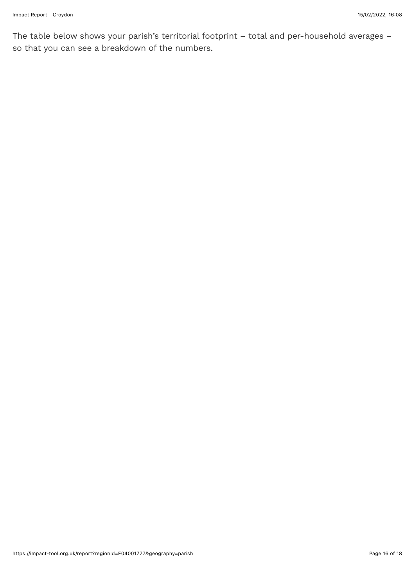The table below shows your parish's territorial footprint – total and per-household averages – so that you can see a breakdown of the numbers.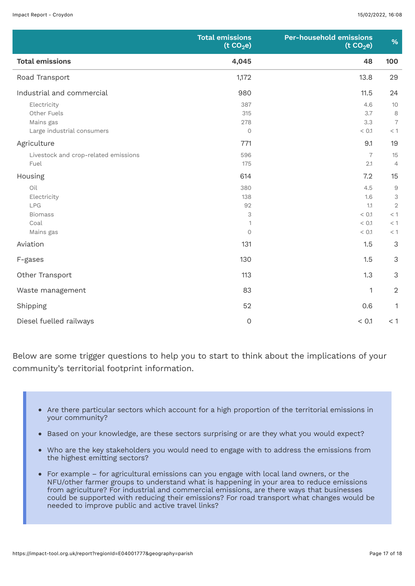|                                                                       | <b>Total emissions</b><br>(t CO <sub>2</sub> e) | <b>Per-household emissions</b><br>(t CO <sub>2</sub> e) | %                                                          |
|-----------------------------------------------------------------------|-------------------------------------------------|---------------------------------------------------------|------------------------------------------------------------|
| <b>Total emissions</b>                                                | 4,045                                           | 48                                                      | 100                                                        |
| Road Transport                                                        | 1,172                                           | 13.8                                                    | 29                                                         |
| Industrial and commercial                                             | 980                                             | 11.5                                                    | 24                                                         |
| Electricity<br>Other Fuels<br>Mains gas<br>Large industrial consumers | 387<br>315<br>278<br>$\circ$                    | 4.6<br>3.7<br>3.3<br>< 0.1                              | 10<br>8<br>$\overline{7}$<br>$<\,1$                        |
| Agriculture                                                           | 771                                             | 9.1                                                     | 19                                                         |
| Livestock and crop-related emissions<br>Fuel                          | 596<br>175                                      | $\overline{7}$<br>2.1                                   | 15<br>$\overline{4}$                                       |
| Housing                                                               | 614                                             | 7.2                                                     | 15                                                         |
| Oil<br>Electricity<br>LPG<br><b>Biomass</b><br>Coal<br>Mains gas      | 380<br>138<br>92<br>3<br>1<br>$\circ$           | 4.5<br>1.6<br>1.1<br>< 0.1<br>< 0.1<br>< 0.1            | $\hbox{9}$<br>3<br>$\mathbf{2}$<br>$<\,1$<br>$<\,1$<br>< 1 |
| Aviation                                                              | 131                                             | 1.5                                                     | $\mathfrak{Z}$                                             |
| F-gases                                                               | 130                                             | 1.5                                                     | $\mathfrak{Z}$                                             |
| Other Transport                                                       | 113                                             | 1.3                                                     | $\mathfrak{S}$                                             |
| Waste management                                                      | 83                                              | $\mathbf{1}$                                            | $\overline{2}$                                             |
| Shipping                                                              | 52                                              | 0.6                                                     | $\mathbf{1}$                                               |
| Diesel fuelled railways                                               | $\mathsf{O}$                                    | < 0.1                                                   | < 1                                                        |

Below are some trigger questions to help you to start to think about the implications of your community's territorial footprint information.

- Are there particular sectors which account for a high proportion of the territorial emissions in your community?
- Based on your knowledge, are these sectors surprising or are they what you would expect?
- Who are the key stakeholders you would need to engage with to address the emissions from  $\bullet$ the highest emitting sectors?
- For example for agricultural emissions can you engage with local land owners, or the NFU/other farmer groups to understand what is happening in your area to reduce emissions from agriculture? For industrial and commercial emissions, are there ways that businesses could be supported with reducing their emissions? For road transport what changes would be needed to improve public and active travel links?